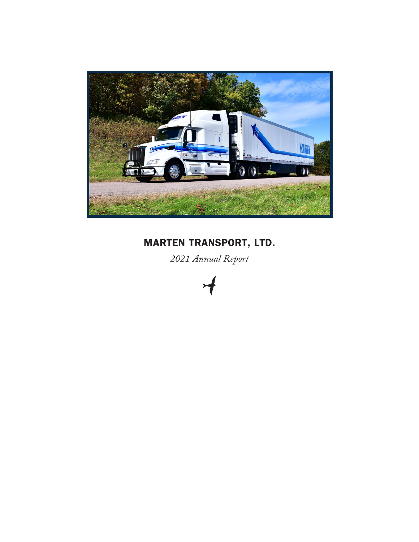

# MARTEN TRANSPORT, LTD.

*2021 Annual Report*

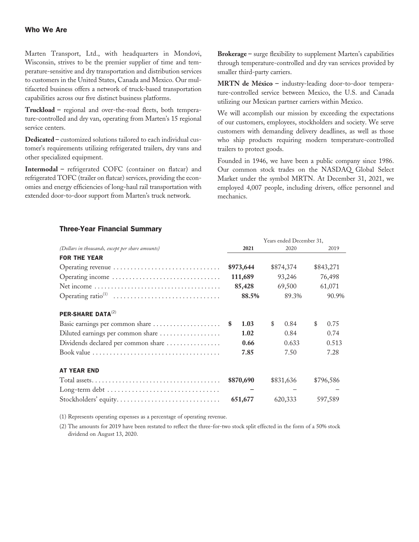## Who We Are

Marten Transport, Ltd., with headquarters in Mondovi, Wisconsin, strives to be the premier supplier of time and temperature-sensitive and dry transportation and distribution services to customers in the United States, Canada and Mexico. Our multifaceted business offers a network of truck-based transportation capabilities across our five distinct business platforms.

**Truckload –** regional and over-the-road fleets, both temperature-controlled and dry van, operating from Marten's 15 regional service centers.

**Dedicated –** customized solutions tailored to each individual customer's requirements utilizing refrigerated trailers, dry vans and other specialized equipment.

**Intermodal –** refrigerated COFC (container on flatcar) and refrigerated TOFC (trailer on flatcar) services, providing the economies and energy efficiencies of long-haul rail transportation with extended door-to-door support from Marten's truck network.

**Brokerage –** surge flexibility to supplement Marten's capabilities through temperature-controlled and dry van services provided by smaller third-party carriers.

**MRTN de México –** industry-leading door-to-door temperature-controlled service between Mexico, the U.S. and Canada utilizing our Mexican partner carriers within Mexico.

We will accomplish our mission by exceeding the expectations of our customers, employees, stockholders and society. We serve customers with demanding delivery deadlines, as well as those who ship products requiring modern temperature-controlled trailers to protect goods.

Founded in 1946, we have been a public company since 1986. Our common stock trades on the NASDAQ Global Select Market under the symbol MRTN. At December 31, 2021, we employed 4,007 people, including drivers, office personnel and mechanics.

|                                                  |            |    | Years ended December 31, |            |
|--------------------------------------------------|------------|----|--------------------------|------------|
| (Dollars in thousands, except per share amounts) | 2021       |    | 2020                     | 2019       |
| <b>FOR THE YEAR</b>                              |            |    |                          |            |
| Operating revenue                                | \$973,644  |    | \$874,374                | \$843,271  |
|                                                  | 111,689    |    | 93,246                   | 76,498     |
|                                                  | 85,428     |    | 69,500                   | 61,071     |
|                                                  | 88.5%      |    | 89.3%                    | 90.9%      |
| PER-SHARE DATA <sup>(2)</sup>                    |            |    |                          |            |
| Basic earnings per common share                  | 1.03<br>\$ | \$ | 0.84                     | \$<br>0.75 |
| Diluted earnings per common share                | 1.02       |    | 0.84                     | 0.74       |
| Dividends declared per common share              | 0.66       |    | 0.633                    | 0.513      |
|                                                  | 7.85       |    | 7.50                     | 7.28       |
| <b>AT YEAR END</b>                               |            |    |                          |            |
|                                                  | \$870,690  |    | \$831,636                | \$796,586  |
|                                                  |            |    |                          |            |
|                                                  | 651,677    |    | 620,333                  | 597,589    |

## Three-Year Financial Summary

(1) Represents operating expenses as a percentage of operating revenue.

(2) The amounts for 2019 have been restated to reflect the three-for-two stock split effected in the form of a 50% stock dividend on August 13, 2020.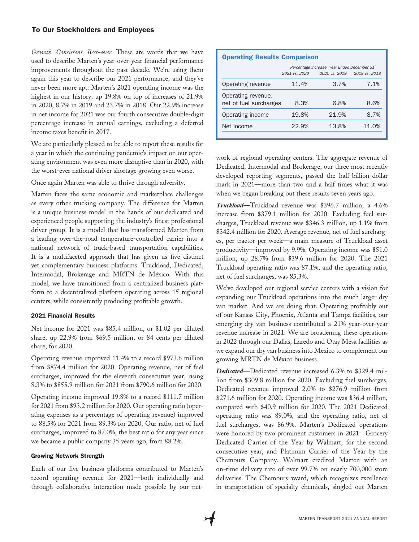## To Our Stockholders and Employees

*Growth. Consistent. Best-ever.* These are words that we have used to describe Marten's year-over-year financial performance improvements throughout the past decade. We're using them again this year to describe our 2021 performance, and they've never been more apt: Marten's 2021 operating income was the highest in our history, up 19.8% on top of increases of 21.9% in 2020, 8.7% in 2019 and 23.7% in 2018. Our 22.9% increase in net income for 2021 was our fourth consecutive double-digit percentage increase in annual earnings, excluding a deferred income taxes benefit in 2017.

We are particularly pleased to be able to report these results for a year in which the continuing pandemic's impact on our operating environment was even more disruptive than in 2020, with the worst-ever national driver shortage growing even worse.

Once again Marten was able to thrive through adversity.

Marten faces the same economic and marketplace challenges as every other trucking company. The difference for Marten is a unique business model in the hands of our dedicated and experienced people supporting the industry's finest professional driver group. It is a model that has transformed Marten from a leading over-the-road temperature-controlled carrier into a national network of truck-based transportation capabilities. It is a multifaceted approach that has given us five distinct yet complementary business platforms: Truckload, Dedicated, Intermodal, Brokerage and MRTN de México. With this model, we have transitioned from a centralized business platform to a decentralized platform operating across 15 regional centers, while consistently producing profitable growth.

#### 2021 Financial Results

Net income for 2021 was \$85.4 million, or \$1.02 per diluted share, up 22.9% from \$69.5 million, or 84 cents per diluted share, for 2020.

Operating revenue improved 11.4% to a record \$973.6 million from \$874.4 million for 2020. Operating revenue, net of fuel surcharges, improved for the eleventh consecutive year, rising 8.3% to \$855.9 million for 2021 from \$790.6 million for 2020.

Operating income improved 19.8% to a record \$111.7 million for 2021 from \$93.2 million for 2020. Our operating ratio (operating expenses as a percentage of operating revenue) improved to 88.5% for 2021 from 89.3% for 2020. Our ratio, net of fuel surcharges, improved to 87.0%, the best ratio for any year since we became a public company 35 years ago, from 88.2%.

#### Growing Network Strength

Each of our five business platforms contributed to Marten's record operating revenue for 2021—both individually and through collaborative interaction made possible by our net-

| <b>Operating Results Comparison</b>          |                                              |               |                   |  |  |  |  |  |
|----------------------------------------------|----------------------------------------------|---------------|-------------------|--|--|--|--|--|
|                                              | Percentage Increase, Year Ended December 31, |               |                   |  |  |  |  |  |
|                                              | 2021 vs. 2020                                | 2020 vs. 2019 | 2019 vs. 2018     |  |  |  |  |  |
| Operating revenue                            | 11.4%                                        | 3.7%          | 7 1%              |  |  |  |  |  |
| Operating revenue,<br>net of fuel surcharges | 8.3%                                         | 6.8%          | 8.6%              |  |  |  |  |  |
| Operating income                             | 19.8%                                        | 21.9%         | 8.7%              |  |  |  |  |  |
| Net income                                   | 22.9%                                        | 13.8%         | 11 O <sub>%</sub> |  |  |  |  |  |
|                                              |                                              |               |                   |  |  |  |  |  |

work of regional operating centers. The aggregate revenue of Dedicated, Intermodal and Brokerage, our three most recently developed reporting segments, passed the half-billion-dollar mark in 2021—more than two and a half times what it was when we began breaking out these results seven years ago.

*Truckload—*Truckload revenue was \$396.7 million, a 4.6% increase from \$379.1 million for 2020. Excluding fuel surcharges, Truckload revenue was \$346.3 million, up 1.1% from \$342.4 million for 2020. Average revenue, net of fuel surcharges, per tractor per week—a main measure of Truckload asset productivity—improved by 9.9%. Operating income was \$51.0 million, up 28.7% from \$39.6 million for 2020. The 2021 Truckload operating ratio was 87.1%, and the operating ratio, net of fuel surcharges, was 85.3%.

We've developed our regional service centers with a vision for expanding our Truckload operations into the much larger dry van market. And we are doing that. Operating profitably out of our Kansas City, Phoenix, Atlanta and Tampa facilities, our emerging dry van business contributed a 21% year-over-year revenue increase in 2021. We are broadening these operations in 2022 through our Dallas, Laredo and Otay Mesa facilities as we expand our dry van business into Mexico to complement our growing MRTN de México business.

*Dedicated—*Dedicated revenue increased 6.3% to \$329.4 million from \$309.8 million for 2020. Excluding fuel surcharges, Dedicated revenue improved 2.0% to \$276.9 million from \$271.6 million for 2020. Operating income was \$36.4 million, compared with \$40.9 million for 2020. The 2021 Dedicated operating ratio was 89.0%, and the operating ratio, net of fuel surcharges, was 86.9%. Marten's Dedicated operations were honored by two prominent customers in 2021: Grocery Dedicated Carrier of the Year by Walmart, for the second consecutive year, and Platinum Carrier of the Year by the Chemours Company. Walmart credited Marten with an on-time delivery rate of over 99.7% on nearly 700,000 store deliveries. The Chemours award, which recognizes excellence in transportation of specialty chemicals, singled out Marten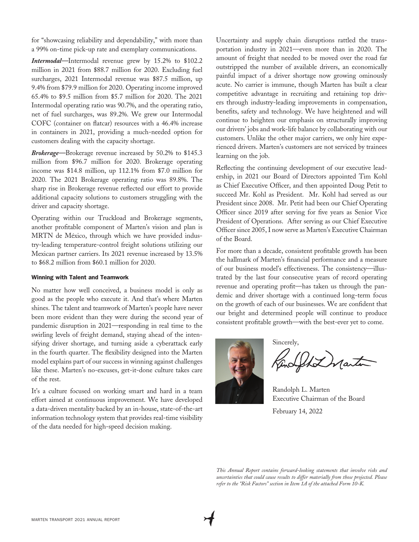for "showcasing reliability and dependability," with more than a 99% on-time pick-up rate and exemplary communications.

*Intermodal—*Intermodal revenue grew by 15.2% to \$102.2 million in 2021 from \$88.7 million for 2020. Excluding fuel surcharges, 2021 Intermodal revenue was \$87.5 million, up 9.4% from \$79.9 million for 2020. Operating income improved 65.4% to \$9.5 million from \$5.7 million for 2020. The 2021 Intermodal operating ratio was 90.7%, and the operating ratio, net of fuel surcharges, was 89.2%. We grew our Intermodal COFC (container on flatcar) resources with a 46.4% increase in containers in 2021, providing a much-needed option for customers dealing with the capacity shortage.

*Brokerage—*Brokerage revenue increased by 50.2% to \$145.3 million from \$96.7 million for 2020. Brokerage operating income was \$14.8 million, up 112.1% from \$7.0 million for 2020. The 2021 Brokerage operating ratio was 89.8%. The sharp rise in Brokerage revenue reflected our effort to provide additional capacity solutions to customers struggling with the driver and capacity shortage.

Operating within our Truckload and Brokerage segments, another profitable component of Marten's vision and plan is MRTN de México, through which we have provided industry-leading temperature-control freight solutions utilizing our Mexican partner carriers. Its 2021 revenue increased by 13.5% to \$68.2 million from \$60.1 million for 2020.

#### Winning with Talent and Teamwork

No matter how well conceived, a business model is only as good as the people who execute it. And that's where Marten shines. The talent and teamwork of Marten's people have never been more evident than they were during the second year of pandemic disruption in 2021—responding in real time to the swirling levels of freight demand, staying ahead of the intensifying driver shortage, and turning aside a cyberattack early in the fourth quarter. The flexibility designed into the Marten model explains part of our success in winning against challenges like these. Marten's no-excuses, get-it-done culture takes care of the rest.

It's a culture focused on working smart and hard in a team effort aimed at continuous improvement. We have developed a data-driven mentality backed by an in-house, state-of-the-art information technology system that provides real-time visibility of the data needed for high-speed decision making.

Uncertainty and supply chain disruptions rattled the transportation industry in 2021—even more than in 2020. The amount of freight that needed to be moved over the road far outstripped the number of available drivers, an economically painful impact of a driver shortage now growing ominously acute. No carrier is immune, though Marten has built a clear competitive advantage in recruiting and retaining top drivers through industry-leading improvements in compensation, benefits, safety and technology. We have heightened and will continue to heighten our emphasis on structurally improving our drivers' jobs and work-life balance by collaborating with our customers. Unlike the other major carriers, we only hire experienced drivers. Marten's customers are not serviced by trainees learning on the job.

Reflecting the continuing development of our executive leadership, in 2021 our Board of Directors appointed Tim Kohl as Chief Executive Officer, and then appointed Doug Petit to succeed Mr. Kohl as President. Mr. Kohl had served as our President since 2008. Mr. Petit had been our Chief Operating Officer since 2019 after serving for five years as Senior Vice President of Operations. After serving as our Chief Executive Officer since 2005, I now serve as Marten's Executive Chairman of the Board.

For more than a decade, consistent profitable growth has been the hallmark of Marten's financial performance and a measure of our business model's effectiveness. The consistency—illustrated by the last four consecutive years of record operating revenue and operating profit—has taken us through the pandemic and driver shortage with a continued long-term focus on the growth of each of our businesses. We are confident that our bright and determined people will continue to produce consistent profitable growth—with the best-ever yet to come.

Sincerely, Kindelt Departur

Randolph L. Marten Executive Chairman of the Board

February 14, 2022

*This Annual Report contains forward-looking statements that involve risks and uncertainties that could cause results to differ materially from those projected. Please refer to the "Risk Factors" section in Item 1A of the attached Form 10-K.*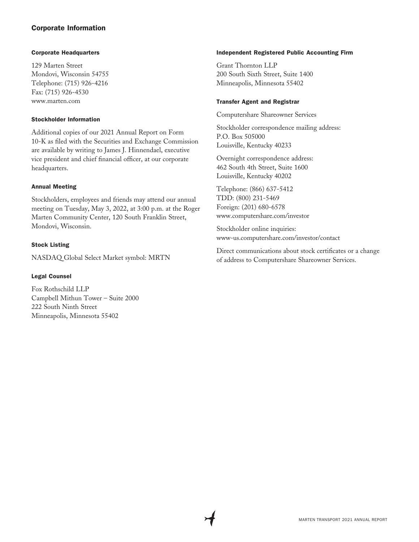# Corporate Information

#### Corporate Headquarters

129 Marten Street Mondovi, Wisconsin 54755 Telephone: (715) 926-4216 Fax: (715) 926-4530 www.marten.com

#### Stockholder Information

Additional copies of our 2021 Annual Report on Form 10-K as filed with the Securities and Exchange Commission are available by writing to James J. Hinnendael, executive vice president and chief financial officer, at our corporate headquarters.

## Annual Meeting

Stockholders, employees and friends may attend our annual meeting on Tuesday, May 3, 2022, at 3:00 p.m. at the Roger Marten Community Center, 120 South Franklin Street, Mondovi, Wisconsin.

#### Stock Listing

NASDAQ Global Select Market symbol: MRTN

## Legal Counsel

Fox Rothschild LLP Campbell Mithun Tower – Suite 2000 222 South Ninth Street Minneapolis, Minnesota 55402

#### Independent Registered Public Accounting Firm

Grant Thornton LLP 200 South Sixth Street, Suite 1400 Minneapolis, Minnesota 55402

#### Transfer Agent and Registrar

Computershare Shareowner Services

Stockholder correspondence mailing address: P.O. Box 505000 Louisville, Kentucky 40233

Overnight correspondence address: 462 South 4th Street, Suite 1600 Louisville, Kentucky 40202

Telephone: (866) 637-5412 TDD: (800) 231-5469 Foreign: (201) 680-6578 www.computershare.com/investor

Stockholder online inquiries: www-us.computershare.com/investor/contact

Direct communications about stock certificates or a change of address to Computershare Shareowner Services.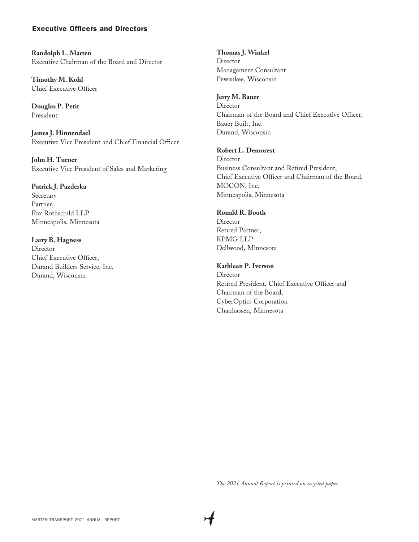## Executive Officers and Directors

**Randolph L. Marten** Executive Chairman of the Board and Director

**Timothy M. Kohl** Chief Executive Officer

**Douglas P. Petit** President

**James J. Hinnendael** Executive Vice President and Chief Financial Officer

**John H. Turner** Executive Vice President of Sales and Marketing

## **Patrick J. Pazderka**

Secretary Partner, Fox Rothschild LLP Minneapolis, Minnesota

## **Larry B. Hagness**

Director Chief Executive Officer, Durand Builders Service, Inc. Durand, Wisconsin

**Thomas J. Winkel Director** Management Consultant Pewaukee, Wisconsin

#### **Jerry M. Bauer**

Director Chairman of the Board and Chief Executive Officer, Bauer Built, Inc. Durand, Wisconsin

## **Robert L. Demorest**

**Director** Business Consultant and Retired President, Chief Executive Officer and Chairman of the Board, MOCON, Inc. Minneapolis, Minnesota

## **Ronald R. Booth**

Director Retired Partner, KPMG LLP Dellwood, Minnesota

## **Kathleen P. Iverson**

Director Retired President, Chief Executive Officer and Chairman of the Board, CyberOptics Corporation Chanhassen, Minnesota

*The 2021 Annual Report is printed on recycled paper.*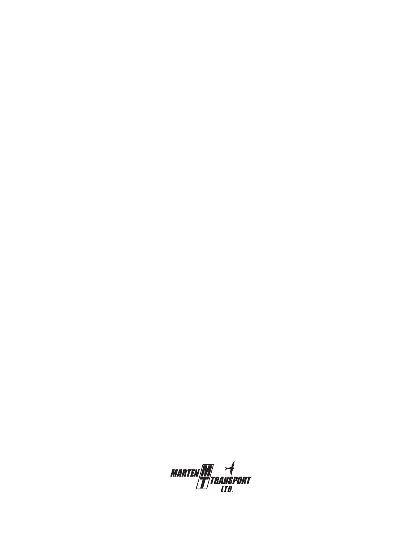*MARTEN* $\frac{M}{T}$ *transport*